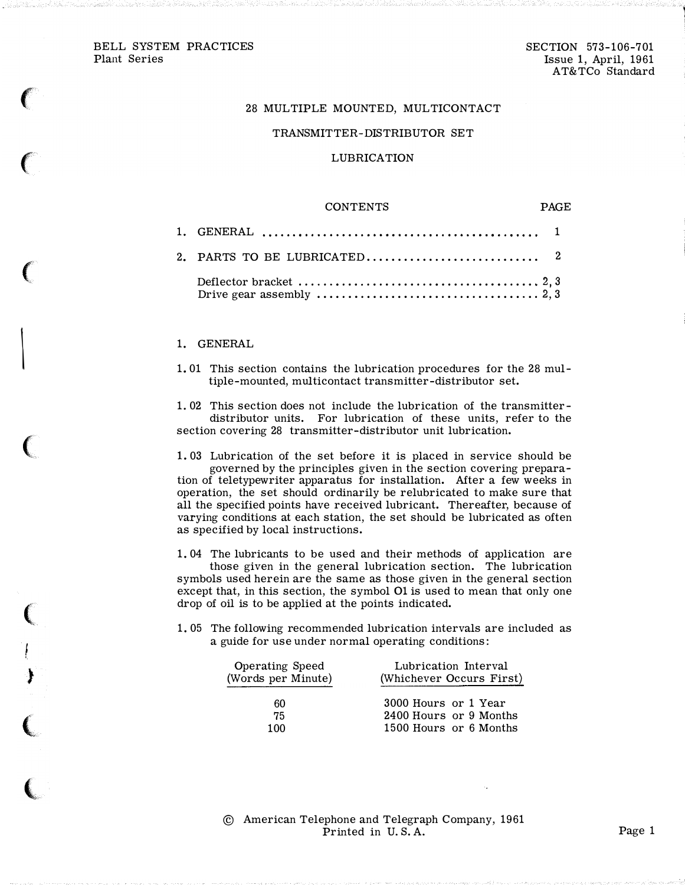$\epsilon$ 

 $\big($ 

 $\big($ 

 $\overline{\phantom{a}}$ 

(

 $\bigl($ 

|<br>!

)

(

 $\big($ 

1

# 28 MULTIPLE MOUNTED, MULTICONTACT

#### TRANSMITTER-DISTRIBUTOR SET

### LUBRICATION

#### **CONTENTS**

PAGE

| Drive gear assembly $\dots \dots \dots \dots \dots \dots \dots \dots \dots \dots \dots \dots$ 2, 3 |  |
|----------------------------------------------------------------------------------------------------|--|

#### 1. GENERAL

1. 01 This section contains the lubrication procedures for the 28 multiple-mounted, multicontact transmitter-distributor set.

1. 02 This section does not include the lubrication of the transmitterdistributor units. For lubrication of these units, refer to the section covering 28 transmitter-distributor unit lubrication.

1. 03 Lubrication of the set before it is placed in service should be governed by the principles given in the section covering preparation of teletypewriter apparatus for installation. After a few weeks in operation, the set should ordinarily be relubricated to make sure that all the specified points have received lubricant. Thereafter, because of varying conditions at each station, the set should be lubricated as often as specified by local instructions.

1. 04 The lubricants to be used and their methods of application are those given in the general lubrication section. The lubrication symbols used herein are the same as those given in the general section except that, in this section, the symbol 01 is used to mean that only one drop of oil is to be applied at the points indicated.

1. 05 The following recommended lubrication intervals are included as a guide for use under normal operating conditions:

| Operating Speed<br>(Words per Minute) | Lubrication Interval<br>(Whichever Occurs First) |
|---------------------------------------|--------------------------------------------------|
| 60                                    | 3000 Hours or 1 Year                             |
| 75                                    | 2400 Hours or 9 Months                           |
| 100                                   | 1500 Hours or 6 Months                           |

© American Telephone and Telegraph Company, 1961 Printed in U.S.A. Page 1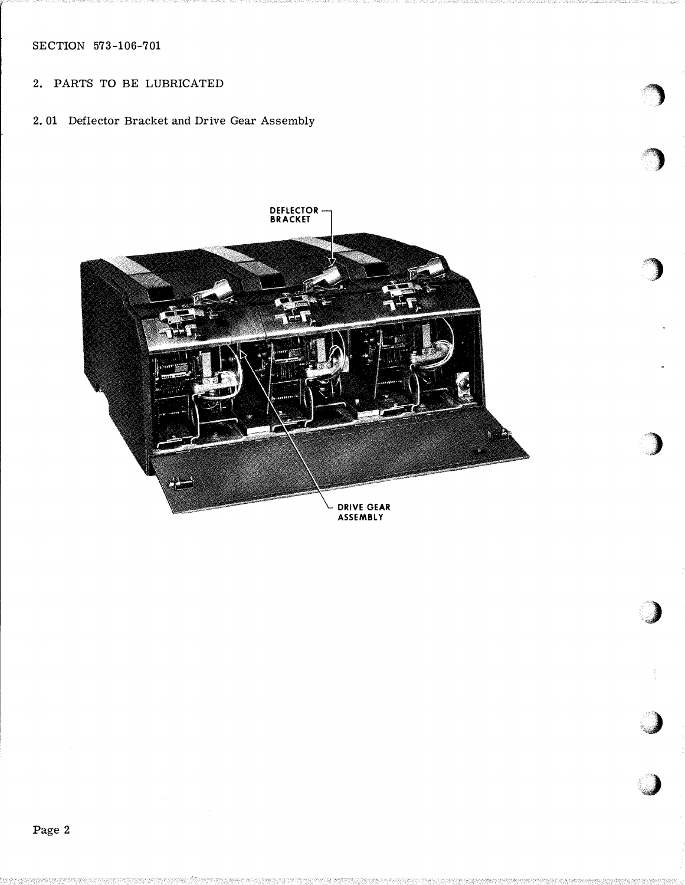SECTION 573-106-701

# 2. PARTS TO BE LUBRICATED

2. 01 Deflector Bracket and Drive Gear Assembly



;'')

"')

)

 $\sum_{i=1}^n$ 

'\  $\mathcal{L}$ 

';J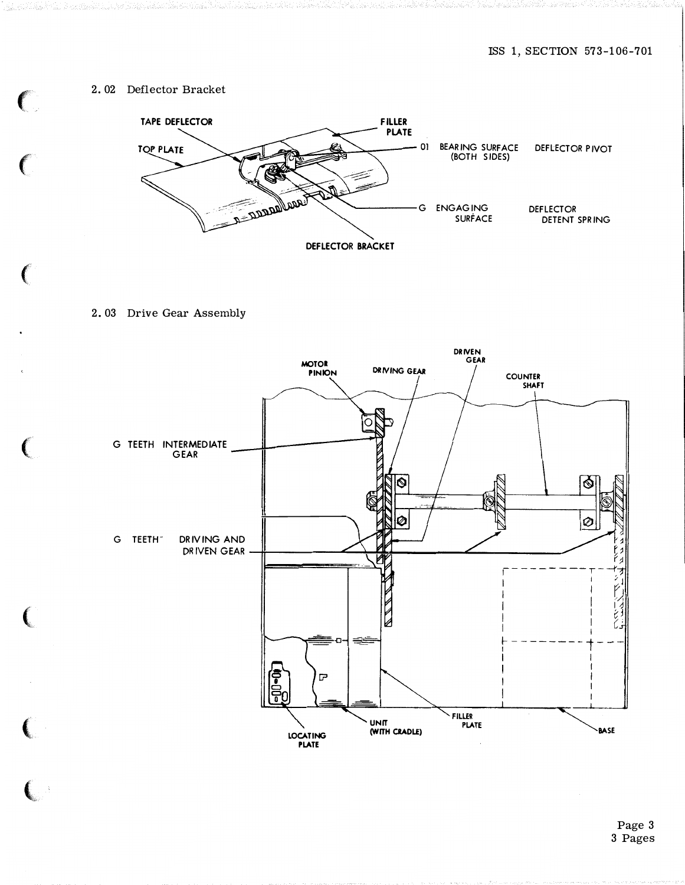### 2. 02 Deflector Bracket



2. 03 Drive Gear Assembly

and the state of the state of the state of